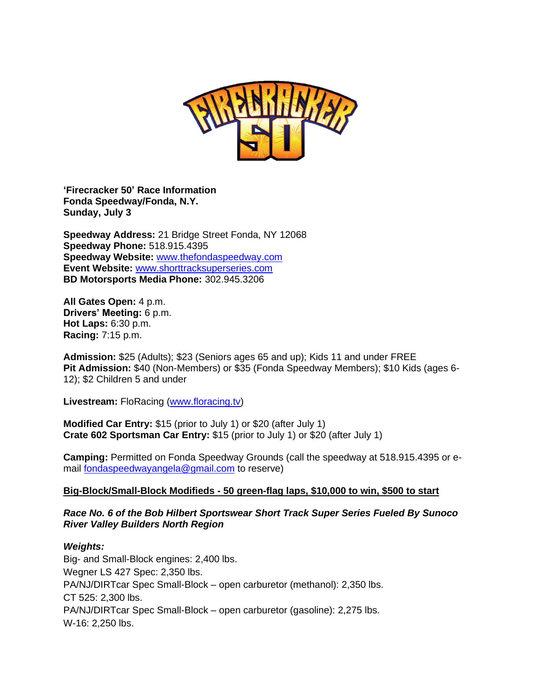

**'Firecracker 50' Race Information Fonda Speedway/Fonda, N.Y. Sunday, July 3**

**Speedway Address:** 21 Bridge Street Fonda, NY 12068 **Speedway Phone:** 518.915.4395 **Speedway Website:** [www.thefondaspeedway.com](http://www.thefondaspeedway.com/) **Event Website:** [www.shorttracksuperseries.com](http://www.shorttracksuperseries.com/) **BD Motorsports Media Phone:** 302.945.3206

**All Gates Open:** 4 p.m. **Drivers' Meeting:** 6 p.m. **Hot Laps:** 6:30 p.m. **Racing:** 7:15 p.m.

**Admission:** \$25 (Adults); \$23 (Seniors ages 65 and up); Kids 11 and under FREE **Pit Admission:** \$40 (Non-Members) or \$35 (Fonda Speedway Members); \$10 Kids (ages 6- 12); \$2 Children 5 and under

**Livestream:** FloRacing [\(www.floracing.tv\)](http://www.floracing.tv/)

**Modified Car Entry:** \$15 (prior to July 1) or \$20 (after July 1) **Crate 602 Sportsman Car Entry:** \$15 (prior to July 1) or \$20 (after July 1)

**Camping:** Permitted on Fonda Speedway Grounds (call the speedway at 518.915.4395 or email [fondaspeedwayangela@gmail.com](mailto:fondaspeedwayangela@gmail.com) to reserve)

#### **Big-Block/Small-Block Modifieds - 50 green-flag laps, \$10,000 to win, \$500 to start**

#### *Race No. 6 of the Bob Hilbert Sportswear Short Track Super Series Fueled By Sunoco River Valley Builders North Region*

#### *Weights:*

Big- and Small-Block engines: 2,400 lbs. Wegner LS 427 Spec: 2,350 lbs. PA/NJ/DIRTcar Spec Small-Block – open carburetor (methanol): 2,350 lbs. CT 525: 2,300 lbs. PA/NJ/DIRTcar Spec Small-Block – open carburetor (gasoline): 2,275 lbs. W-16: 2,250 lbs.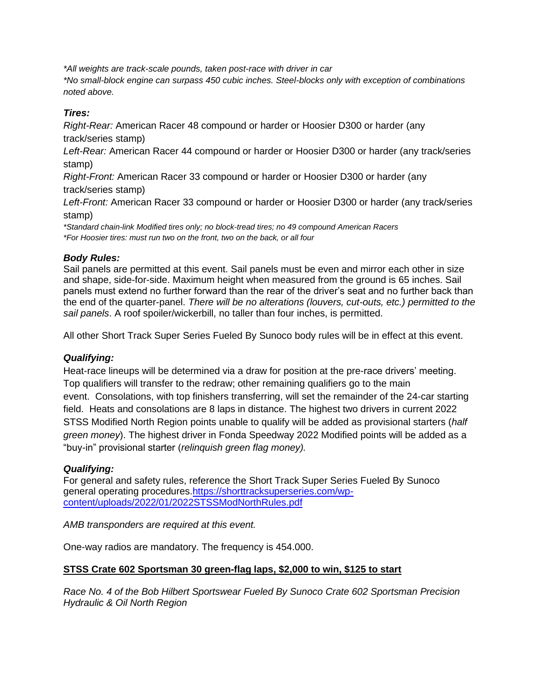*\*All weights are track-scale pounds, taken post-race with driver in car*

*\*No small-block engine can surpass 450 cubic inches. Steel-blocks only with exception of combinations noted above.* 

# *Tires:*

*Right-Rear:* American Racer 48 compound or harder or Hoosier D300 or harder (any track/series stamp)

*Left-Rear:* American Racer 44 compound or harder or Hoosier D300 or harder (any track/series stamp)

*Right-Front:* American Racer 33 compound or harder or Hoosier D300 or harder (any track/series stamp)

*Left-Front:* American Racer 33 compound or harder or Hoosier D300 or harder (any track/series stamp)

*\*Standard chain-link Modified tires only; no block-tread tires; no 49 compound American Racers \*For Hoosier tires: must run two on the front, two on the back, or all four*

## *Body Rules:*

Sail panels are permitted at this event. Sail panels must be even and mirror each other in size and shape, side-for-side. Maximum height when measured from the ground is 65 inches. Sail panels must extend no further forward than the rear of the driver's seat and no further back than the end of the quarter-panel. *There will be no alterations (louvers, cut-outs, etc.) permitted to the sail panels*. A roof spoiler/wickerbill, no taller than four inches, is permitted.

All other Short Track Super Series Fueled By Sunoco body rules will be in effect at this event.

## *Qualifying:*

Heat-race lineups will be determined via a draw for position at the pre-race drivers' meeting. Top qualifiers will transfer to the redraw; other remaining qualifiers go to the main event. Consolations, with top finishers transferring, will set the remainder of the 24-car starting field. Heats and consolations are 8 laps in distance. The highest two drivers in current 2022 STSS Modified North Region points unable to qualify will be added as provisional starters (*half green money*). The highest driver in Fonda Speedway 2022 Modified points will be added as a "buy-in" provisional starter (*relinquish green flag money).* 

## *Qualifying:*

For general and safety rules, reference the Short Track Super Series Fueled By Sunoco general operating procedures[.https://shorttracksuperseries.com/wp](https://shorttracksuperseries.com/wp-content/uploads/2022/01/2022STSSModNorthRules.pdf)[content/uploads/2022/01/2022STSSModNorthRules.pdf](https://shorttracksuperseries.com/wp-content/uploads/2022/01/2022STSSModNorthRules.pdf)

*AMB transponders are required at this event.*

One-way radios are mandatory. The frequency is 454.000.

## **STSS Crate 602 Sportsman 30 green-flag laps, \$2,000 to win, \$125 to start**

*Race No. 4 of the Bob Hilbert Sportswear Fueled By Sunoco Crate 602 Sportsman Precision Hydraulic & Oil North Region*